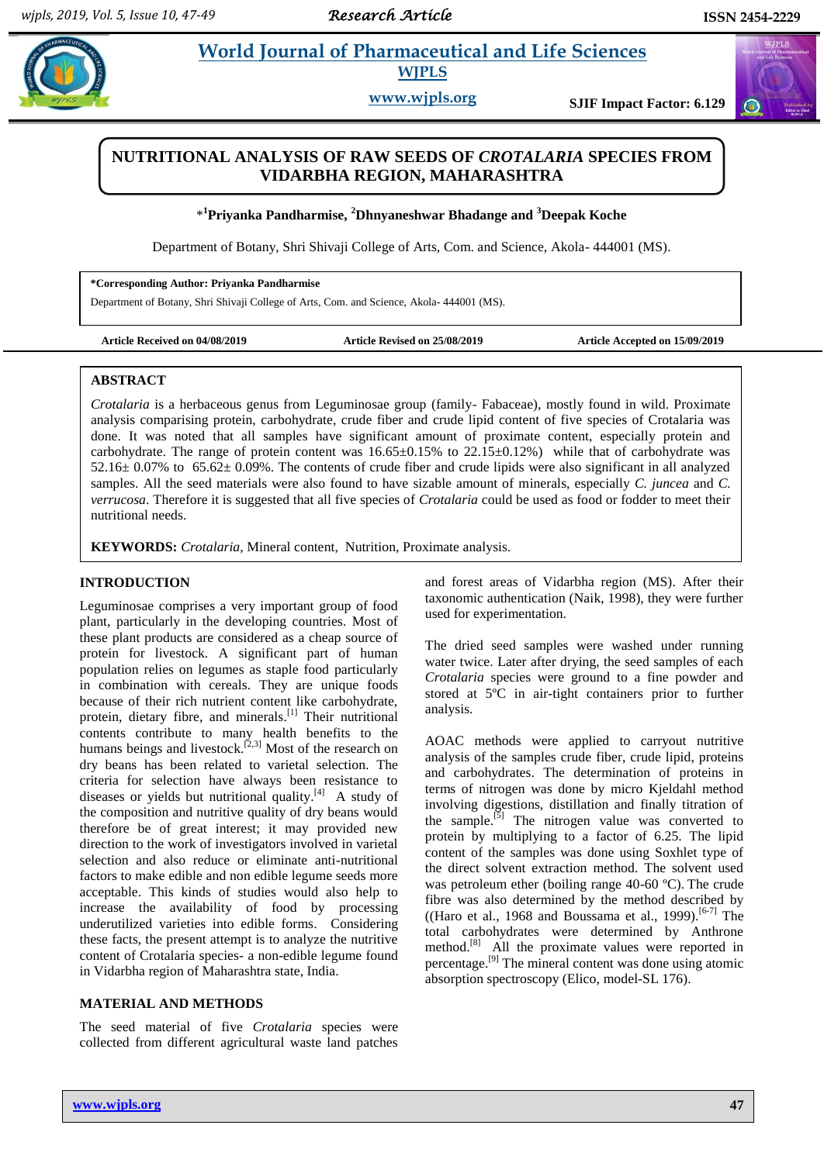$\bigcirc$ 

# **Prints and <u>World Journal of Pharmaceutical and Life Sciences</u> WJPLS**

**www.wjpls.org SJIF Impact Factor: 6.129**

# **NUTRITIONAL ANALYSIS OF RAW SEEDS OF** *CROTALARIA* **SPECIES FROM VIDARBHA REGION, MAHARASHTRA**

\* **<sup>1</sup>Priyanka Pandharmise, <sup>2</sup>Dhnyaneshwar Bhadange and <sup>3</sup>Deepak Koche**

Department of Botany, Shri Shivaji College of Arts, Com. and Science, Akola- 444001 (MS).

**\*Corresponding Author: Priyanka Pandharmise**

Department of Botany, Shri Shivaji College of Arts, Com. and Science, Akola- 444001 (MS).

**Article Received on 04/08/2019 Article Revised on 25/08/2019 Article Accepted on 15/09/2019**

#### **ABSTRACT**

*Crotalaria* is a herbaceous genus from Leguminosae group (family- Fabaceae), mostly found in wild. Proximate analysis comparising protein, carbohydrate, crude fiber and crude lipid content of five species of Crotalaria was done. It was noted that all samples have significant amount of proximate content, especially protein and carbohydrate. The range of protein content was  $16.65\pm0.15\%$  to  $22.15\pm0.12\%$ ) while that of carbohydrate was 52.16± 0.07% to 65.62± 0.09%. The contents of crude fiber and crude lipids were also significant in all analyzed samples. All the seed materials were also found to have sizable amount of minerals, especially *C. juncea* and *C. verrucosa*. Therefore it is suggested that all five species of *Crotalaria* could be used as food or fodder to meet their nutritional needs.

**KEYWORDS:** *Crotalaria*, Mineral content, Nutrition, Proximate analysis.

### **INTRODUCTION**

Leguminosae comprises a very important group of food plant, particularly in the developing countries. Most of these plant products are considered as a cheap source of protein for livestock. A significant part of human population relies on legumes as staple food particularly in combination with cereals. They are unique foods because of their rich nutrient content like carbohydrate, protein, dietary fibre, and minerals.<sup>[1]</sup> Their nutritional contents contribute to many health benefits to the humans beings and livestock.<sup>[2,3]</sup> Most of the research on dry beans has been related to varietal selection. The criteria for selection have always been resistance to diseases or yields but nutritional quality. $[4]$  A study of the composition and nutritive quality of dry beans would therefore be of great interest; it may provided new direction to the work of investigators involved in varietal selection and also reduce or eliminate anti-nutritional factors to make edible and non edible legume seeds more acceptable. This kinds of studies would also help to increase the availability of food by processing underutilized varieties into edible forms. Considering these facts, the present attempt is to analyze the nutritive content of Crotalaria species- a non-edible legume found in Vidarbha region of Maharashtra state, India.

#### **MATERIAL AND METHODS**

The seed material of five *Crotalaria* species were collected from different agricultural waste land patches

and forest areas of Vidarbha region (MS). After their taxonomic authentication (Naik, 1998), they were further used for experimentation.

The dried seed samples were washed under running water twice. Later after drying, the seed samples of each *Crotalaria* species were ground to a fine powder and stored at 5ºC in air-tight containers prior to further analysis.

AOAC methods were applied to carryout nutritive analysis of the samples crude fiber, crude lipid, proteins and carbohydrates. The determination of proteins in terms of nitrogen was done by micro Kjeldahl method involving digestions, distillation and finally titration of the sample.<sup>[5]</sup> The nitrogen value was converted to protein by multiplying to a factor of 6.25. The lipid content of the samples was done using Soxhlet type of the direct solvent extraction method. The solvent used was petroleum ether (boiling range 40-60 ºC). The crude fibre was also determined by the method described by ((Haro et al., 1968 and Boussama et al., 1999).<sup>[6-7]</sup> The total carbohydrates were determined by Anthrone method.<sup>[8]</sup> All the proximate values were reported in percentage.<sup>[9]</sup> The mineral content was done using atomic absorption spectroscopy (Elico, model-SL 176).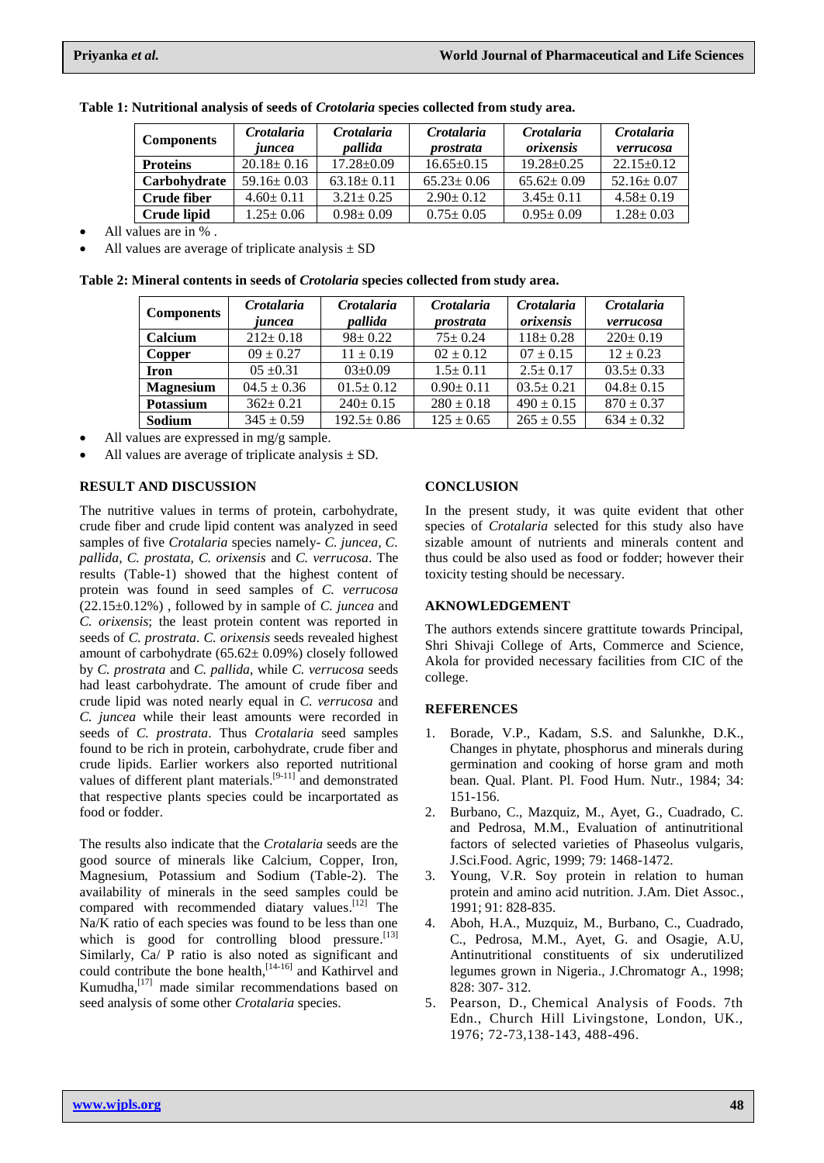| <b>Components</b>  | Crotalaria<br>juncea | Crotalaria<br><i>nallida</i> | Crotalaria<br><i>prostrata</i> | Crotalaria<br>orixensis | Crotalaria<br>verrucosa |
|--------------------|----------------------|------------------------------|--------------------------------|-------------------------|-------------------------|
| <b>Proteins</b>    | $20.18 \pm 0.16$     | $17.28 \pm 0.09$             | $16.65 \pm 0.15$               | $19.28 + 0.25$          | $22.15 \pm 0.12$        |
| Carbohydrate       | $59.16 \pm 0.03$     | $63.18 \pm 0.11$             | $65.23 \pm 0.06$               | $65.62 + 0.09$          | $52.16 \pm 0.07$        |
| <b>Crude fiber</b> | $4.60 \pm 0.11$      | $3.21 \pm 0.25$              | $2.90 \pm 0.12$                | $3.45 \pm 0.11$         | $4.58 \pm 0.19$         |
| Crude lipid        | $1.25 \pm 0.06$      | $0.98 \pm 0.09$              | $0.75 \pm 0.05$                | $0.95 \pm 0.09$         | $1.28 \pm 0.03$         |

**Table 1: Nutritional analysis of seeds of** *Crotolaria* **species collected from study area.**

All values are in % .

All values are average of triplicate analysis  $\pm$  SD

**Table 2: Mineral contents in seeds of** *Crotolaria* **species collected from study area.**

| <b>Components</b> | Crotalaria<br>iuncea | Crotalaria<br>pallida | Crotalaria<br><i>prostrata</i> | Crotalaria<br>orixensis | Crotalaria<br>verrucosa |
|-------------------|----------------------|-----------------------|--------------------------------|-------------------------|-------------------------|
| Calcium           | $212 \pm 0.18$       | $98 \pm 0.22$         | $75 \pm 0.24$                  | $118 \pm 0.28$          | $220 \pm 0.19$          |
| Copper            | $09 \pm 0.27$        | $11 \pm 0.19$         | $02 \pm 0.12$                  | $07 \pm 0.15$           | $12 \pm 0.23$           |
| <b>Iron</b>       | $0.5 \pm 0.31$       | $03 \pm 0.09$         | $1.5 \pm 0.11$                 | $2.5 \pm 0.17$          | $03.5 \pm 0.33$         |
| <b>Magnesium</b>  | $04.5 \pm 0.36$      | $01.5 \pm 0.12$       | $0.90 \pm 0.11$                | $03.5 \pm 0.21$         | $04.8 \pm 0.15$         |
| Potassium         | $362+0.21$           | $240 \pm 0.15$        | $280 \pm 0.18$                 | $490 \pm 0.15$          | $870 \pm 0.37$          |
| Sodium            | $345 \pm 0.59$       | $192.5 \pm 0.86$      | $125 \pm 0.65$                 | $265 \pm 0.55$          | $634 \pm 0.32$          |

All values are expressed in mg/g sample.

All values are average of triplicate analysis  $\pm$  SD.

# **RESULT AND DISCUSSION**

The nutritive values in terms of protein, carbohydrate, crude fiber and crude lipid content was analyzed in seed samples of five *Crotalaria* species namely- *C. juncea, C. pallida, C. prostata, C. orixensis* and *C. verrucosa*. The results (Table-1) showed that the highest content of protein was found in seed samples of *C. verrucosa* (22.15±0.12%) , followed by in sample of *C. juncea* and *C. orixensis*; the least protein content was reported in seeds of *C. prostrata*. *C. orixensis* seeds revealed highest amount of carbohydrate  $(65.62 \pm 0.09\%)$  closely followed by *C. prostrata* and *C. pallida*, while *C. verrucosa* seeds had least carbohydrate. The amount of crude fiber and crude lipid was noted nearly equal in *C. verrucosa* and *C. juncea* while their least amounts were recorded in seeds of *C. prostrata*. Thus *Crotalaria* seed samples found to be rich in protein, carbohydrate, crude fiber and crude lipids. Earlier workers also reported nutritional values of different plant materials.<sup>[9-11]</sup> and demonstrated that respective plants species could be incarportated as food or fodder.

The results also indicate that the *Crotalaria* seeds are the good source of minerals like Calcium, Copper, Iron, Magnesium, Potassium and Sodium (Table-2). The availability of minerals in the seed samples could be compared with recommended diatary values. [12] The Na/K ratio of each species was found to be less than one which is good for controlling blood pressure. [13] Similarly, Ca/ P ratio is also noted as significant and could contribute the bone health, [14-16] and Kathirvel and Kumudha, [17] made similar recommendations based on seed analysis of some other *Crotalaria* species.

# **CONCLUSION**

In the present study, it was quite evident that other species of *Crotalaria* selected for this study also have sizable amount of nutrients and minerals content and thus could be also used as food or fodder; however their toxicity testing should be necessary.

### **AKNOWLEDGEMENT**

The authors extends sincere grattitute towards Principal, Shri Shivaji College of Arts, Commerce and Science, Akola for provided necessary facilities from CIC of the college.

### **REFERENCES**

- 1. Borade, V.P., Kadam, S.S. and Salunkhe, D.K., Changes in phytate, phosphorus and minerals during germination and cooking of horse gram and moth bean. Qual. Plant. Pl. Food Hum. Nutr., 1984; 34: 151-156.
- 2. Burbano, C., Mazquiz, M., Ayet, G., Cuadrado, C. and Pedrosa, M.M., Evaluation of antinutritional factors of selected varieties of Phaseolus vulgaris, J.Sci.Food. Agric, 1999; 79: 1468-1472.
- 3. Young, V.R. Soy protein in relation to human protein and amino acid nutrition. J.Am. Diet Assoc., 1991; 91: 828-835.
- 4. Aboh, H.A., Muzquiz, M., Burbano, C., Cuadrado, C., Pedrosa, M.M., Ayet, G. and Osagie, A.U, Antinutritional constituents of six underutilized legumes grown in Nigeria., J.Chromatogr A., 1998; 828: 307- 312.
- 5. Pearson, D., Chemical Analysis of Foods. 7th Edn., Church Hill Livingstone, London, UK., 1976; 72-73,138-143, 488-496.